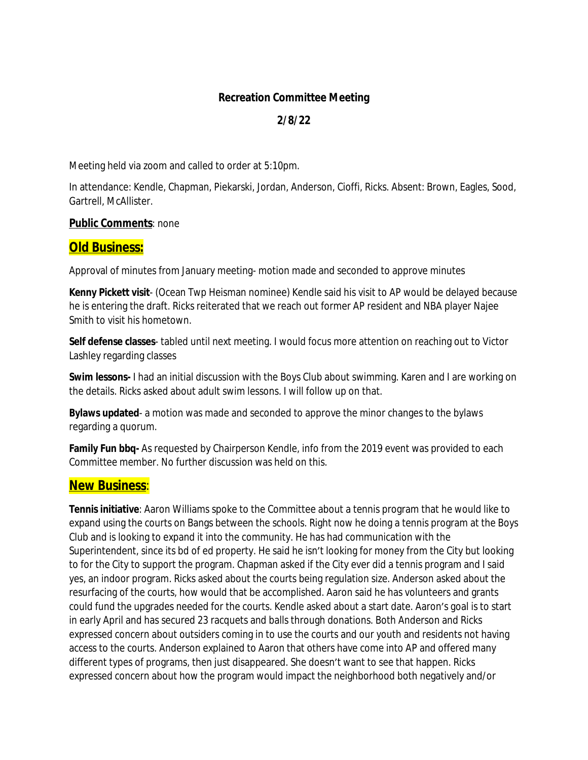#### **Recreation Committee Meeting**

### **2/8/22**

Meeting held via zoom and called to order at 5:10pm.

In attendance: Kendle, Chapman, Piekarski, Jordan, Anderson, Cioffi, Ricks. Absent: Brown, Eagles, Sood, Gartrell, McAllister.

#### **Public Comments**: none

# **Old Business:**

Approval of minutes from January meeting- motion made and seconded to approve minutes

**Kenny Pickett visit**- (Ocean Twp Heisman nominee) Kendle said his visit to AP would be delayed because he is entering the draft. Ricks reiterated that we reach out former AP resident and NBA player Najee Smith to visit his hometown.

**Self defense classes**- tabled until next meeting. I would focus more attention on reaching out to Victor Lashley regarding classes

**Swim lessons-** I had an initial discussion with the Boys Club about swimming. Karen and I are working on the details. Ricks asked about adult swim lessons. I will follow up on that.

**Bylaws updated**- a motion was made and seconded to approve the minor changes to the bylaws regarding a quorum.

**Family Fun bbq-** As requested by Chairperson Kendle, info from the 2019 event was provided to each Committee member. No further discussion was held on this.

# **New Business**:

**Tennis initiative**: Aaron Williams spoke to the Committee about a tennis program that he would like to expand using the courts on Bangs between the schools. Right now he doing a tennis program at the Boys Club and is looking to expand it into the community. He has had communication with the Superintendent, since its bd of ed property. He said he isn't looking for money from the City but looking to for the City to support the program. Chapman asked if the City ever did a tennis program and I said yes, an indoor program. Ricks asked about the courts being regulation size. Anderson asked about the resurfacing of the courts, how would that be accomplished. Aaron said he has volunteers and grants could fund the upgrades needed for the courts. Kendle asked about a start date. Aaron's goal is to start in early April and has secured 23 racquets and balls through donations. Both Anderson and Ricks expressed concern about outsiders coming in to use the courts and our youth and residents not having access to the courts. Anderson explained to Aaron that others have come into AP and offered many different types of programs, then just disappeared. She doesn't want to see that happen. Ricks expressed concern about how the program would impact the neighborhood both negatively and/or